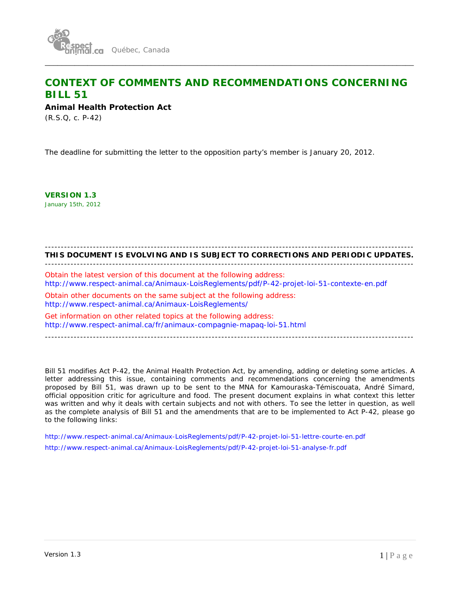

# **CONTEXT OF COMMENTS AND RECOMMENDATIONS CONCERNING BILL 51**

\_\_\_\_\_\_\_\_\_\_\_\_\_\_\_\_\_\_\_\_\_\_\_\_\_\_\_\_\_\_\_\_\_\_\_\_\_\_\_\_\_\_\_\_\_\_\_\_\_\_\_\_\_\_\_\_\_\_\_\_\_\_\_\_\_\_\_\_\_\_\_\_\_\_\_\_\_\_\_\_\_\_\_\_\_\_\_

**Animal Health Protection Act** 

(R.S.Q, c. P-42)

The deadline for submitting the letter to the opposition party's member is January 20, 2012.

**VERSION 1.3** January 15th, 2012

# -------------------------------------------------------------------------------------------------------------------

**THIS DOCUMENT IS EVOLVING AND IS SUBJECT TO CORRECTIONS AND PERIODIC UPDATES.**  -------------------------------------------------------------------------------------------------------------------

Obtain the latest version of this document at the following address: http://www.respect-animal.ca/Animaux-LoisReglements/pdf/P-42-projet-loi-51-contexte-en.pdf

Obtain other documents on the same subject at the following address: http://www.respect-animal.ca/Animaux-LoisReglements/

Get information on other related topics at the following address: http://www.respect-animal.ca/fr/animaux-compagnie-mapaq-loi-51.html

-------------------------------------------------------------------------------------------------------------------

*Bill 51* modifies Act P-42, the Animal Health Protection Act, by amending, adding or deleting some articles. A letter addressing this issue, containing comments and recommendations concerning the amendments proposed by Bill 51, was drawn up to be sent to the MNA for Kamouraska-Témiscouata, André Simard, official opposition critic for agriculture and food. The present document explains in what context this letter was written and why it deals with certain subjects and not with others. To see the letter in question, as well as the complete analysis of Bill 51 and the amendments that are to be implemented to Act P-42, please go to the following links:

http://www.respect-animal.ca/Animaux-LoisReglements/pdf/P-42-projet-loi-51-lettre-courte-en.pdf http://www.respect-animal.ca/Animaux-LoisReglements/pdf/P-42-projet-loi-51-analyse-fr.pdf